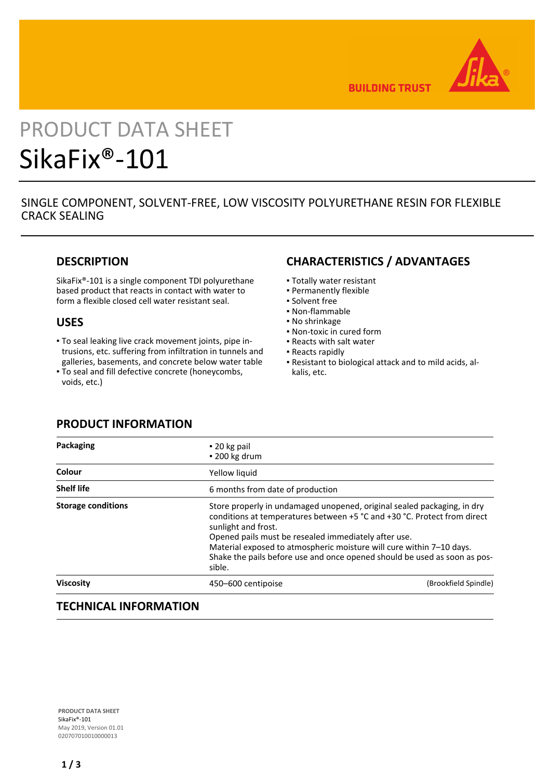

**BUILDING TRUST** 

# PRODUCT DATA SHEET SikaFix®-101

# SINGLE COMPONENT, SOLVENT-FREE, LOW VISCOSITY POLYURETHANE RESIN FOR FLEXIBLE CRACK SEALING

## **DESCRIPTION**

SikaFix®-101 is a single component TDI polyurethane based product that reacts in contact with water to form a flexible closed cell water resistant seal.

## **USES**

- To seal leaking live crack movement joints, pipe in-▪ trusions, etc. suffering from infiltration in tunnels and galleries, basements, and concrete below water table
- To seal and fill defective concrete (honeycombs, voids, etc.)

## **CHARACTERISTICS / ADVANTAGES**

- Totally water resistant
- Permanently flexible
- Solvent free
- Non-flammable
- No shrinkage
- Non-toxic in cured form
- Reacts with salt water
- Reacts rapidly
- Resistant to biological attack and to mild acids, al-▪ kalis, etc.

## **PRODUCT INFORMATION**

| $\bullet$ 20 kg pail<br>$\cdot$ 200 kg drum |                                                                                                                                                                                                                                                                                                                                                                  |  |
|---------------------------------------------|------------------------------------------------------------------------------------------------------------------------------------------------------------------------------------------------------------------------------------------------------------------------------------------------------------------------------------------------------------------|--|
| Yellow liquid                               |                                                                                                                                                                                                                                                                                                                                                                  |  |
| 6 months from date of production            |                                                                                                                                                                                                                                                                                                                                                                  |  |
| sunlight and frost.<br>sible.               | Store properly in undamaged unopened, original sealed packaging, in dry<br>conditions at temperatures between +5 °C and +30 °C. Protect from direct<br>Opened pails must be resealed immediately after use.<br>Material exposed to atmospheric moisture will cure within 7-10 days.<br>Shake the pails before use and once opened should be used as soon as pos- |  |
| 450–600 centipoise                          | (Brookfield Spindle)                                                                                                                                                                                                                                                                                                                                             |  |
|                                             |                                                                                                                                                                                                                                                                                                                                                                  |  |

## **TECHNICAL INFORMATION**

**PRODUCT DATA SHEET** SikaFix®-101 May 2019, Version 01.01 020707010010000013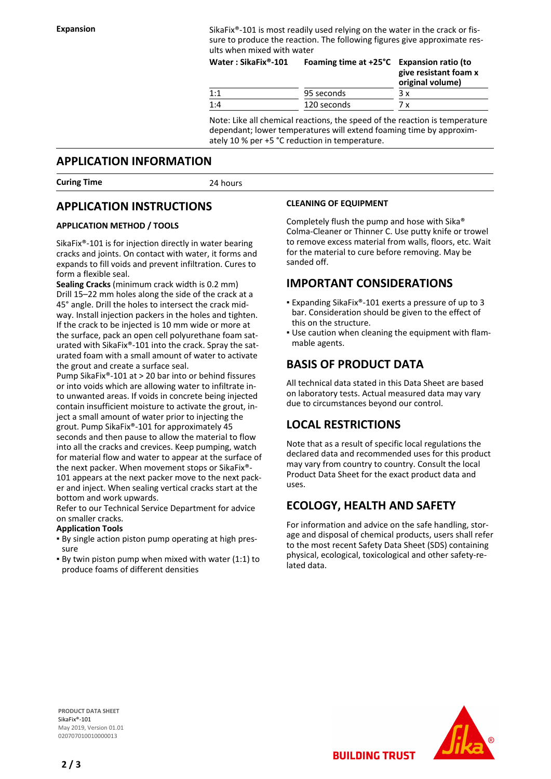Expansion SikaFix<sup>®</sup>-101 is most readily used relying on the water in the crack or fissure to produce the reaction. The following figures give approximate results when mixed with water

| Water: SikaFix®-101 | Foaming time at +25°C Expansion ratio (to | give resistant foam x<br>original volume) |
|---------------------|-------------------------------------------|-------------------------------------------|
| 1:1                 | 95 seconds                                | Зx                                        |
| 1:4                 | 120 seconds                               | 7 x                                       |

Note: Like all chemical reactions, the speed of the reaction is temperature dependant; lower temperatures will extend foaming time by approximately 10 % per +5 °C reduction in temperature.

### **APPLICATION INFORMATION**

**Curing Time** 24 hours

## **APPLICATION INSTRUCTIONS**

#### **APPLICATION METHOD / TOOLS**

SikaFix®-101 is for injection directly in water bearing cracks and joints. On contact with water, it forms and expands to fill voids and prevent infiltration. Cures to form a flexible seal.

**Sealing Cracks** (minimum crack width is 0.2 mm) Drill 15–22 mm holes along the side of the crack at a 45° angle. Drill the holes to intersect the crack midway. Install injection packers in the holes and tighten. If the crack to be injected is 10 mm wide or more at the surface, pack an open cell polyurethane foam saturated with SikaFix®-101 into the crack. Spray the saturated foam with a small amount of water to activate the grout and create a surface seal.

Pump SikaFix®-101 at > 20 bar into or behind fissures or into voids which are allowing water to infiltrate into unwanted areas. If voids in concrete being injected contain insufficient moisture to activate the grout, inject a small amount of water prior to injecting the grout. Pump SikaFix®-101 for approximately 45 seconds and then pause to allow the material to flow into all the cracks and crevices. Keep pumping, watch for material flow and water to appear at the surface of the next packer. When movement stops or SikaFix®- 101 appears at the next packer move to the next packer and inject. When sealing vertical cracks start at the bottom and work upwards.

Refer to our Technical Service Department for advice on smaller cracks.

#### **Application Tools**

- By single action piston pump operating at high pres-▪ sure
- By twin piston pump when mixed with water (1:1) to produce foams of different densities

#### **CLEANING OF EQUIPMENT**

Completely flush the pump and hose with Sika® Colma-Cleaner or Thinner C. Use putty knife or trowel to remove excess material from walls, floors, etc. Wait for the material to cure before removing. May be sanded off.

## **IMPORTANT CONSIDERATIONS**

- Expanding SikaFix®-101 exerts a pressure of up to 3 bar. Consideration should be given to the effect of this on the structure.
- . Use caution when cleaning the equipment with flammable agents.

## **BASIS OF PRODUCT DATA**

All technical data stated in this Data Sheet are based on laboratory tests. Actual measured data may vary due to circumstances beyond our control.

## **LOCAL RESTRICTIONS**

Note that as a result of specific local regulations the declared data and recommended uses for this product may vary from country to country. Consult the local Product Data Sheet for the exact product data and uses.

## **ECOLOGY, HEALTH AND SAFETY**

For information and advice on the safe handling, storage and disposal of chemical products, users shall refer to the most recent Safety Data Sheet (SDS) containing physical, ecological, toxicological and other safety-related data.

**PRODUCT DATA SHEET** SikaFix®-101 May 2019, Version 01.01 020707010010000013



**BUILDING TRUST**